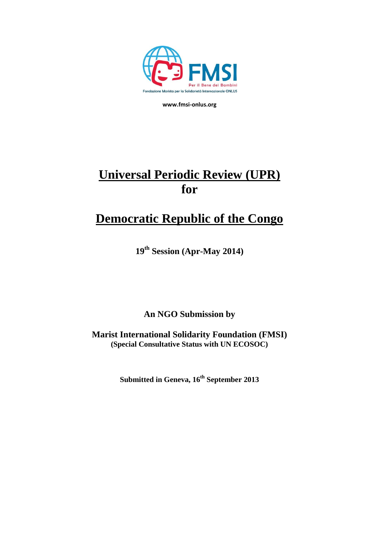

**www.fmsi-onlus.org**

# **Universal Periodic Review (UPR) for**

## **Democratic Republic of the Congo**

**19 th Session (Apr-May 2014)**

**An NGO Submission by**

**Marist International Solidarity Foundation (FMSI) (Special Consultative Status with UN ECOSOC)**

**Submitted in Geneva, 16th September 2013**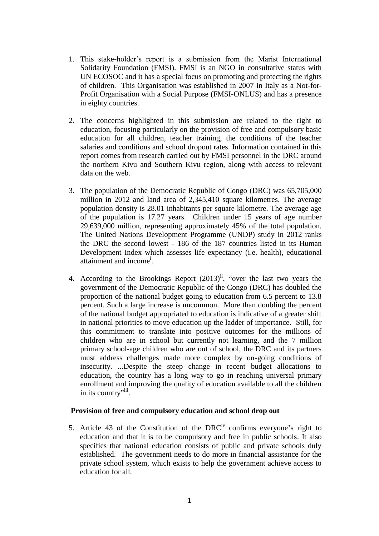- 1. This stake-holder's report is a submission from the Marist International Solidarity Foundation (FMSI). FMSI is an NGO in consultative status with UN ECOSOC and it has a special focus on promoting and protecting the rights of children. This Organisation was established in 2007 in Italy as a Not-for-Profit Organisation with a Social Purpose (FMSI-ONLUS) and has a presence in eighty countries.
- 2. The concerns highlighted in this submission are related to the right to education, focusing particularly on the provision of free and compulsory basic education for all children, teacher training, the conditions of the teacher salaries and conditions and school dropout rates. Information contained in this report comes from research carried out by FMSI personnel in the DRC around the northern Kivu and Southern Kivu region, along with access to relevant data on the web.
- 3. The population of the Democratic Republic of Congo (DRC) was 65,705,000 million in 2012 and land area of 2,345,410 square kilometres. The average population density is 28.01 inhabitants per square kilometre. The average age of the population is 17.27 years. Children under 15 years of age number 29,639,000 million, representing approximately 45% of the total population. The United Nations Development Programme (UNDP) study in 2012 ranks the DRC the second lowest - 186 of the 187 countries listed in its Human Development Index which assesses life expectancy (i.e. health), educational attainment and income<sup>i</sup>.
- 4. According to the Brookings Report  $(2013)^{ii}$ , "over the last two years the government of the Democratic Republic of the Congo (DRC) has doubled the proportion of the national budget going to education from 6.5 percent to 13.8 percent. Such a large increase is uncommon. More than doubling the percent of the national budget appropriated to education is indicative of a greater shift in national priorities to move education up the ladder of importance. Still, for this commitment to translate into positive outcomes for the millions of children who are in school but currently not learning, and the [7 million](http://efareport.wordpress.com/2011/11/16/briefly-7-million-children-out-of-school-in-the-drc/) primary school-age children who are out of school, the DRC and its partners must address challenges made more complex by on-going conditions of insecurity. ...Despite the steep change in recent budget allocations to education, the country has a long way to go in reaching universal primary enrollment and improving the quality of education available to all the children in its country"<sup>iii</sup>.

#### **Provision of free and compulsory education and school drop out**

5. Article 43 of the Constitution of the DRC<sup>iv</sup> confirms everyone's right to education and that it is to be compulsory and free in public schools. It also specifies that national education consists of public and private schools duly established. The government needs to do more in financial assistance for the private school system, which exists to help the government achieve access to education for all.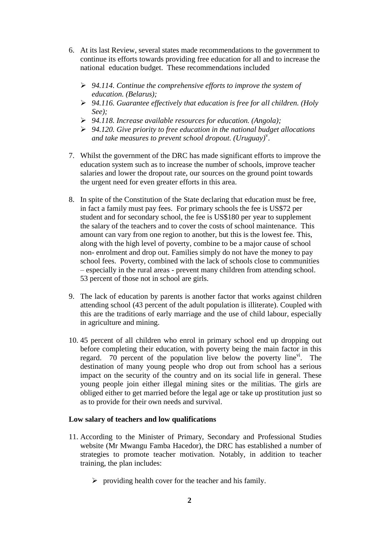- 6. At its last Review, several states made recommendations to the government to continue its efforts towards providing free education for all and to increase the national education budget. These recommendations included
	- *94.114. Continue the comprehensive efforts to improve the system of education. (Belarus);*
	- *94.116. Guarantee effectively that education is free for all children. (Holy See);*
	- *94.118. Increase available resources for education. (Angola);*
	- *94.120. Give priority to free education in the national budget allocations*  and take measures to prevent school dropout. (Uruguay)<sup>v</sup>.
- 7. Whilst the government of the DRC has made significant efforts to improve the education system such as to increase the number of schools, improve teacher salaries and lower the dropout rate, our sources on the ground point towards the urgent need for even greater efforts in this area.
- 8. In spite of the Constitution of the State declaring that education must be free, in fact a family must pay fees. For primary schools the fee is US\$72 per student and for secondary school, the fee is US\$180 per year to supplement the salary of the teachers and to cover the costs of school maintenance. This amount can vary from one region to another, but this is the lowest fee. This, along with the high level of poverty, combine to be a major cause of school non- enrolment and drop out. Families simply do not have the money to pay school fees. Poverty, combined with the lack of schools close to communities – especially in the rural areas - prevent many children from attending school. 53 percent of those not in school are girls.
- 9. The lack of education by parents is another factor that works against children attending school (43 percent of the adult population is illiterate). Coupled with this are the traditions of early marriage and the use of child labour, especially in agriculture and mining.
- 10. 45 percent of all children who enrol in primary school end up dropping out before completing their education, with poverty being the main factor in this regard.  $\overline{70}$  percent of the population live below the poverty line<sup>vi</sup>. The destination of many young people who drop out from school has a serious impact on the security of the country and on its social life in general. These young people join either illegal mining sites or the militias. The girls are obliged either to get married before the legal age or take up prostitution just so as to provide for their own needs and survival.

#### **Low salary of teachers and low qualifications**

- 11. According to the Minister of Primary, Secondary and Professional Studies website (Mr Mwangu Famba Hacedor), the DRC has established a number of strategies to promote teacher motivation. Notably, in addition to teacher training, the plan includes:
	- $\triangleright$  providing health cover for the teacher and his family.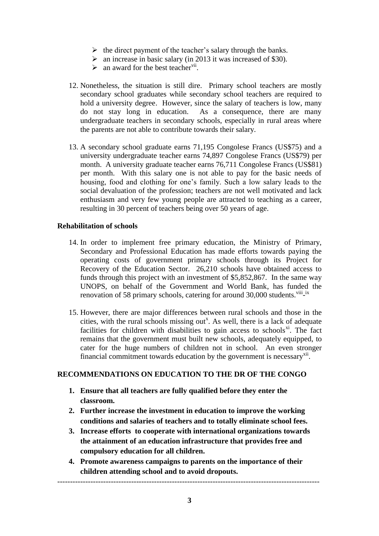- $\triangleright$  the direct payment of the teacher's salary through the banks.
- $\triangleright$  an increase in basic salary (in 2013 it was increased of \$30).
- $\triangleright$  an award for the best teacher<sup>vii</sup>.
- 12. Nonetheless, the situation is still dire. Primary school teachers are mostly secondary school graduates while secondary school teachers are required to hold a university degree. However, since the salary of teachers is low, many do not stay long in education. As a consequence, there are many As a consequence, there are many undergraduate teachers in secondary schools, especially in rural areas where the parents are not able to contribute towards their salary.
- 13. A secondary school graduate earns 71,195 Congolese Francs (US\$75) and a university undergraduate teacher earns 74,897 Congolese Francs (US\$79) per month. A university graduate teacher earns 76,711 Congolese Francs (US\$81) per month. With this salary one is not able to pay for the basic needs of housing, food and clothing for one's family. Such a low salary leads to the social devaluation of the profession; teachers are not well motivated and lack enthusiasm and very few young people are attracted to teaching as a career, resulting in 30 percent of teachers being over 50 years of age.

### **Rehabilitation of schools**

- 14. In order to implement free primary education, the Ministry of Primary, Secondary and Professional Education has made efforts towards paying the operating costs of government primary schools through its Project for Recovery of the Education Sector. 26,210 schools have obtained access to funds through this project with an investment of \$5,852,867. In the same way UNOPS, on behalf of the Government and World Bank, has funded the renovation of 58 primary schools, catering for around 30,000 students. Viii<sub>-</sub>ix
- 15. However, there are major differences between rural schools and those in the cities, with the rural schools missing out<sup>x</sup>. As well, there is a lack of adequate facilities for children with disabilities to gain access to schools $x_i$ . The fact remains that the government must built new schools, adequately equipped, to cater for the huge numbers of children not in school. An even stronger financial commitment towards education by the government is necessary $\frac{x}{i}$ .

## **RECOMMENDATIONS ON EDUCATION TO THE DR OF THE CONGO**

- **1. Ensure that all teachers are fully qualified before they enter the classroom.**
- **2. Further increase the investment in education to improve the working conditions and salaries of teachers and to totally eliminate school fees.**
- **3. Increase efforts to cooperate with international organizations towards the attainment of an education infrastructure that provides free and compulsory education for all children.**
- **4. Promote awareness campaigns to parents on the importance of their children attending school and to avoid dropouts.**

-------------------------------------------------------------------------------------------------------